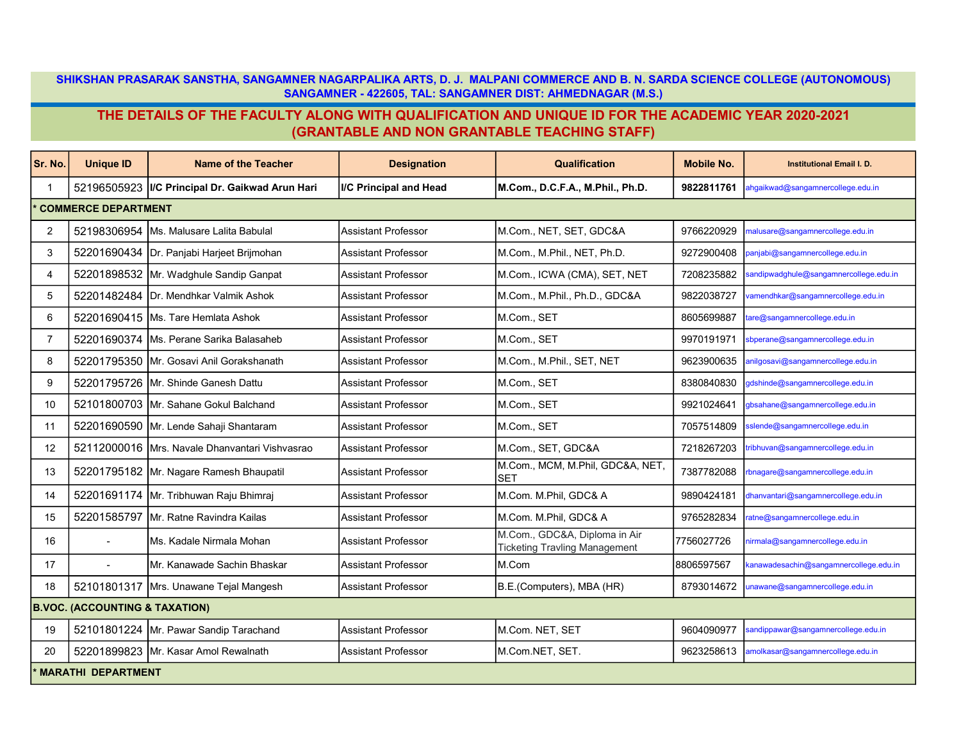SHIKSHAN PRASARAK SANSTHA, SANGAMNER NAGARPALIKA ARTS, D. J. MALPANI COMMERCE AND B. N. SARDA SCIENCE COLLEGE (AUTONOMOUS) SANGAMNER - 422605, TAL: SANGAMNER DIST: AHMEDNAGAR (M.S.)

## THE DETAILS OF THE FACULTY ALONG WITH QUALIFICATION AND UNIQUE ID FOR THE ACADEMIC YEAR 2020-2021 (GRANTABLE AND NON GRANTABLE TEACHING STAFF)

| Sr. No.         | <b>Unique ID</b>                          | <b>Name of the Teacher</b>             | <b>Designation</b>         | <b>Qualification</b>                                                  | <b>Mobile No.</b> | <b>Institutional Email I. D.</b>       |  |  |  |
|-----------------|-------------------------------------------|----------------------------------------|----------------------------|-----------------------------------------------------------------------|-------------------|----------------------------------------|--|--|--|
| -1              | 52196505923                               | I/C Principal Dr. Gaikwad Arun Hari    | I/C Principal and Head     | M.Com., D.C.F.A., M.Phil., Ph.D.                                      | 9822811761        | ahgaikwad@sangamnercollege.edu.in      |  |  |  |
|                 | <b>COMMERCE DEPARTMENT</b>                |                                        |                            |                                                                       |                   |                                        |  |  |  |
| $\overline{2}$  | 52198306954                               | Ms. Malusare Lalita Babulal            | Assistant Professor        | M.Com., NET, SET, GDC&A                                               | 9766220929        | malusare@sangamnercollege.edu.in       |  |  |  |
| 3               | 52201690434                               | Dr. Panjabi Harjeet Brijmohan          | <b>Assistant Professor</b> | M.Com., M.Phil., NET, Ph.D.                                           | 9272900408        | anjabi@sangamnercollege.edu.in         |  |  |  |
| $\overline{4}$  | 52201898532                               | Mr. Wadghule Sandip Ganpat             | <b>Assistant Professor</b> | M.Com., ICWA (CMA), SET, NET                                          | 7208235882        | andipwadghule@sangamnercollege.edu.in  |  |  |  |
| 5               | 52201482484                               | Dr. Mendhkar Valmik Ashok              | <b>Assistant Professor</b> | M.Com., M.Phil., Ph.D., GDC&A                                         | 9822038727        | amendhkar@sangamnercollege.edu.in      |  |  |  |
| 6               | 52201690415                               | lMs. Tare Hemlata Ashok                | <b>Assistant Professor</b> | M.Com., SET                                                           | 8605699887        | are@sangamnercollege.edu.in            |  |  |  |
| $\overline{7}$  | 52201690374                               | Ms. Perane Sarika Balasaheb            | <b>Assistant Professor</b> | M.Com., SET                                                           | 9970191971        | sbperane@sangamnercollege.edu.in       |  |  |  |
| 8               | 52201795350                               | Mr. Gosavi Anil Gorakshanath           | <b>Assistant Professor</b> | M.Com., M.Phil., SET, NET                                             | 9623900635        | anilgosavi@sangamnercollege.edu.in     |  |  |  |
| 9               | 52201795726                               | IMr. Shinde Ganesh Dattu               | <b>Assistant Professor</b> | M.Com., SET                                                           | 8380840830        | gdshinde@sangamnercollege.edu.in       |  |  |  |
| 10 <sup>1</sup> | 52101800703                               | IMr. Sahane Gokul Balchand             | <b>Assistant Professor</b> | M.Com., SET                                                           | 9921024641        | gbsahane@sangamnercollege.edu.in       |  |  |  |
| 11              | 52201690590                               | Mr. Lende Sahaji Shantaram             | <b>Assistant Professor</b> | M.Com., SET                                                           | 7057514809        | slende@sangamnercollege.edu.in         |  |  |  |
| 12 <sub>2</sub> | 52112000016                               | Mrs. Navale Dhanvantari Vishvasrao     | <b>Assistant Professor</b> | M.Com., SET, GDC&A                                                    | 7218267203        | ribhuvan@sangamnercollege.edu.in       |  |  |  |
| 13              | 52201795182                               | Mr. Nagare Ramesh Bhaupatil            | <b>Assistant Professor</b> | M.Com., MCM, M.Phil, GDC&A, NET,<br><b>SET</b>                        | 7387782088        | rbnagare@sangamnercollege.edu.in       |  |  |  |
| 14              | 52201691174                               | Mr. Tribhuwan Raju Bhimraj             | <b>Assistant Professor</b> | M.Com. M.Phil, GDC& A                                                 | 9890424181        | dhanvantari@sangamnercollege.edu.in    |  |  |  |
| 15              | 52201585797                               | IMr. Ratne Ravindra Kailas             | <b>Assistant Professor</b> | M.Com. M.Phil. GDC& A                                                 | 9765282834        | ratne@sangamnercollege.edu.in          |  |  |  |
| 16              |                                           | Ms. Kadale Nirmala Mohan               | <b>Assistant Professor</b> | M.Com., GDC&A, Diploma in Air<br><b>Ticketing Travling Management</b> | 7756027726        | nirmala@sangamnercollege.edu.in        |  |  |  |
| 17              |                                           | Mr. Kanawade Sachin Bhaskar            | <b>Assistant Professor</b> | M.Com                                                                 | 8806597567        | canawadesachin@sangamnercollege.edu.in |  |  |  |
| 18              |                                           | 52101801317 Mrs. Unawane Tejal Mangesh | <b>Assistant Professor</b> | B.E.(Computers), MBA (HR)                                             | 8793014672        | unawane@sangamnercollege.edu.in        |  |  |  |
|                 | <b>B.VOC. (ACCOUNTING &amp; TAXATION)</b> |                                        |                            |                                                                       |                   |                                        |  |  |  |
| 19              |                                           | 52101801224 Mr. Pawar Sandip Tarachand | <b>Assistant Professor</b> | M.Com. NET, SET                                                       | 9604090977        | sandippawar@sangamnercollege.edu.in    |  |  |  |
| 20              |                                           | 52201899823 Mr. Kasar Amol Rewalnath   | <b>Assistant Professor</b> | M.Com.NET, SET.                                                       | 9623258613        | amolkasar@sangamnercollege.edu.in      |  |  |  |
|                 | <b>MARATHI DEPARTMENT</b>                 |                                        |                            |                                                                       |                   |                                        |  |  |  |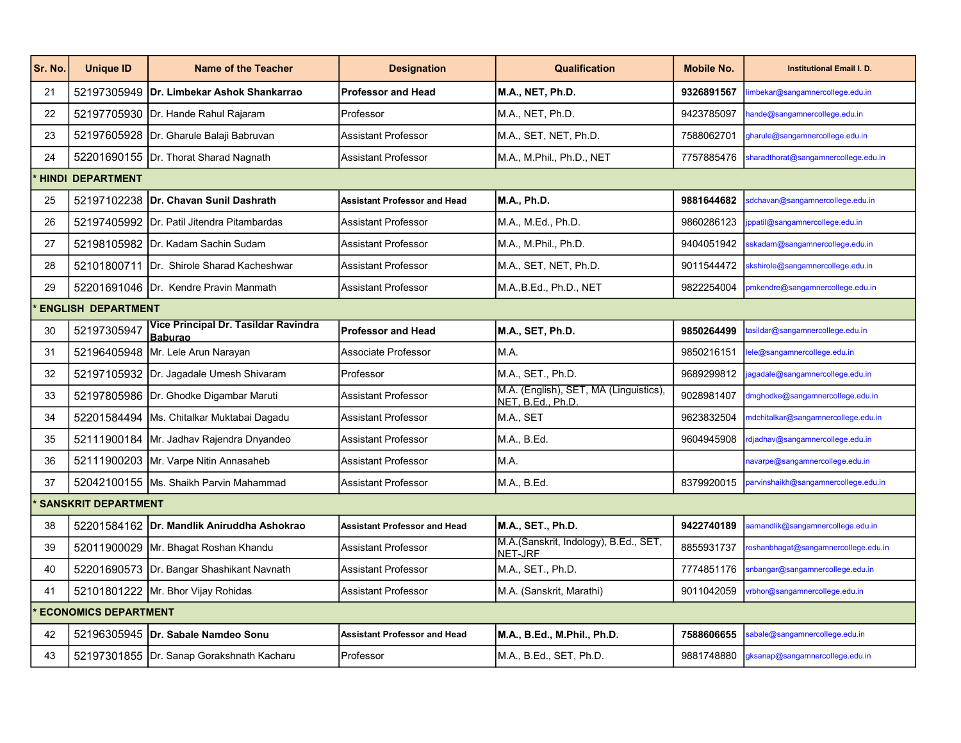| Sr. No. | <b>Unique ID</b>            | <b>Name of the Teacher</b>                             | <b>Designation</b>                  | Qualification                                               | <b>Mobile No.</b> | <b>Institutional Email I. D.</b>     |  |  |  |
|---------|-----------------------------|--------------------------------------------------------|-------------------------------------|-------------------------------------------------------------|-------------------|--------------------------------------|--|--|--|
| 21      |                             | 52197305949   Dr. Limbekar Ashok Shankarrao            | <b>Professor and Head</b>           | <b>M.A., NET, Ph.D.</b>                                     | 9326891567        | imbekar@sangamnercollege.edu.in      |  |  |  |
| 22      |                             | 52197705930 Dr. Hande Rahul Rajaram                    | Professor                           | M.A., NET, Ph.D.                                            | 9423785097        | ande@sangamnercollege.edu.in         |  |  |  |
| 23      |                             | 52197605928 Dr. Gharule Balaji Babruvan                | Assistant Professor                 | M.A., SET, NET, Ph.D.                                       | 7588062701        | gharule@sangamnercollege.edu.in      |  |  |  |
| 24      |                             | 52201690155  Dr. Thorat Sharad Nagnath                 | <b>Assistant Professor</b>          | M.A., M.Phil., Ph.D., NET                                   | 7757885476        | sharadthorat@sangamnercollege.edu.in |  |  |  |
|         | <b>HINDI DEPARTMENT</b>     |                                                        |                                     |                                                             |                   |                                      |  |  |  |
| 25      |                             | 52197102238   Dr. Chavan Sunil Dashrath                | <b>Assistant Professor and Head</b> | M.A., Ph.D.                                                 | 9881644682        | sdchavan@sangamnercollege.edu.in     |  |  |  |
| 26      |                             | 52197405992 Dr. Patil Jitendra Pitambardas             | <b>Assistant Professor</b>          | M.A., M.Ed., Ph.D.                                          | 9860286123        | ppatil@sangamnercollege.edu.in       |  |  |  |
| 27      |                             | 52198105982 Dr. Kadam Sachin Sudam                     | <b>Assistant Professor</b>          | M.A., M.Phil., Ph.D.                                        | 9404051942        | skadam@sangamnercollege.edu.in       |  |  |  |
| 28      |                             | 52101800711  Dr. Shirole Sharad Kacheshwar             | <b>Assistant Professor</b>          | M.A., SET, NET, Ph.D.                                       | 9011544472        | skshirole@sangamnercollege.edu.in    |  |  |  |
| 29      |                             | 52201691046   Dr. Kendre Pravin Manmath                | <b>Assistant Professor</b>          | M.A., B.Ed., Ph.D., NET                                     | 9822254004        | omkendre@sangamnercollege.edu.in     |  |  |  |
|         | <b>ENGLISH DEPARTMENT</b>   |                                                        |                                     |                                                             |                   |                                      |  |  |  |
| 30      | 52197305947                 | Vice Principal Dr. Tasildar Ravindra<br><b>Baburao</b> | <b>Professor and Head</b>           | M.A., SET, Ph.D.                                            | 9850264499        | asildar@sangamnercollege.edu.in      |  |  |  |
| 31      |                             | 52196405948 Mr. Lele Arun Narayan                      | Associate Professor                 | M.A.                                                        | 9850216151        | ele@sangamnercollege.edu.in          |  |  |  |
| 32      |                             | 52197105932 Dr. Jagadale Umesh Shivaram                | Professor                           | M.A., SET., Ph.D.                                           | 9689299812        | agadale@sangamnercollege.edu.in      |  |  |  |
| 33      |                             | 52197805986 Dr. Ghodke Digambar Maruti                 | <b>Assistant Professor</b>          | M.A. (English), SET, MA (Linguistics),<br>NET. B.Ed., Ph.D. | 9028981407        | dmghodke@sangamnercollege.edu.in     |  |  |  |
| 34      |                             | 52201584494 Ms. Chitalkar Muktabai Dagadu              | <b>Assistant Professor</b>          | M.A., SET                                                   | 9623832504        | ndchitalkar@sangamnercollege.edu.in  |  |  |  |
| 35      |                             | 52111900184 Mr. Jadhav Rajendra Dnyandeo               | <b>Assistant Professor</b>          | M.A., B.Ed.                                                 | 9604945908        | djadhav@sangamnercollege.edu.in      |  |  |  |
| 36      |                             | 52111900203 Mr. Varpe Nitin Annasaheb                  | <b>Assistant Professor</b>          | M.A.                                                        |                   | navarpe@sangamnercollege.edu.in      |  |  |  |
| 37      |                             | 52042100155 Ms. Shaikh Parvin Mahammad                 | <b>Assistant Professor</b>          | M.A., B.Ed.                                                 | 8379920015        | parvinshaikh@sangamnercollege.edu.in |  |  |  |
|         | <b>SANSKRIT DEPARTMENT</b>  |                                                        |                                     |                                                             |                   |                                      |  |  |  |
| 38      |                             | 52201584162 Dr. Mandlik Aniruddha Ashokrao             | <b>Assistant Professor and Head</b> | M.A., SET., Ph.D.                                           | 9422740189        | aamandlik@sangamnercollege.edu.in    |  |  |  |
| 39      |                             | 52011900029 Mr. Bhagat Roshan Khandu                   | <b>Assistant Professor</b>          | M.A.(Sanskrit, Indology), B.Ed., SET,<br>NET-JRF            | 8855931737        | roshanbhagat@sangamnercollege.edu.in |  |  |  |
| 40      |                             | 52201690573 Dr. Bangar Shashikant Navnath              | <b>Assistant Professor</b>          | M.A., SET., Ph.D.                                           | 7774851176        | snbangar@sangamnercollege.edu.in     |  |  |  |
| 41      |                             | 52101801222 Mr. Bhor Vijay Rohidas                     | <b>Assistant Professor</b>          | M.A. (Sanskrit, Marathi)                                    | 9011042059        | rbhor@sangamnercollege.edu.in        |  |  |  |
|         | <b>ECONOMICS DEPARTMENT</b> |                                                        |                                     |                                                             |                   |                                      |  |  |  |
| 42      |                             | 52196305945   Dr. Sabale Namdeo Sonu                   | <b>Assistant Professor and Head</b> | M.A., B.Ed., M.Phil., Ph.D.                                 | 7588606655        | sabale@sangamnercollege.edu.in       |  |  |  |
| 43      |                             | 52197301855 Dr. Sanap Gorakshnath Kacharu              | Professor                           | M.A., B.Ed., SET, Ph.D.                                     | 9881748880        | yksanap@sangamnercollege.edu.in      |  |  |  |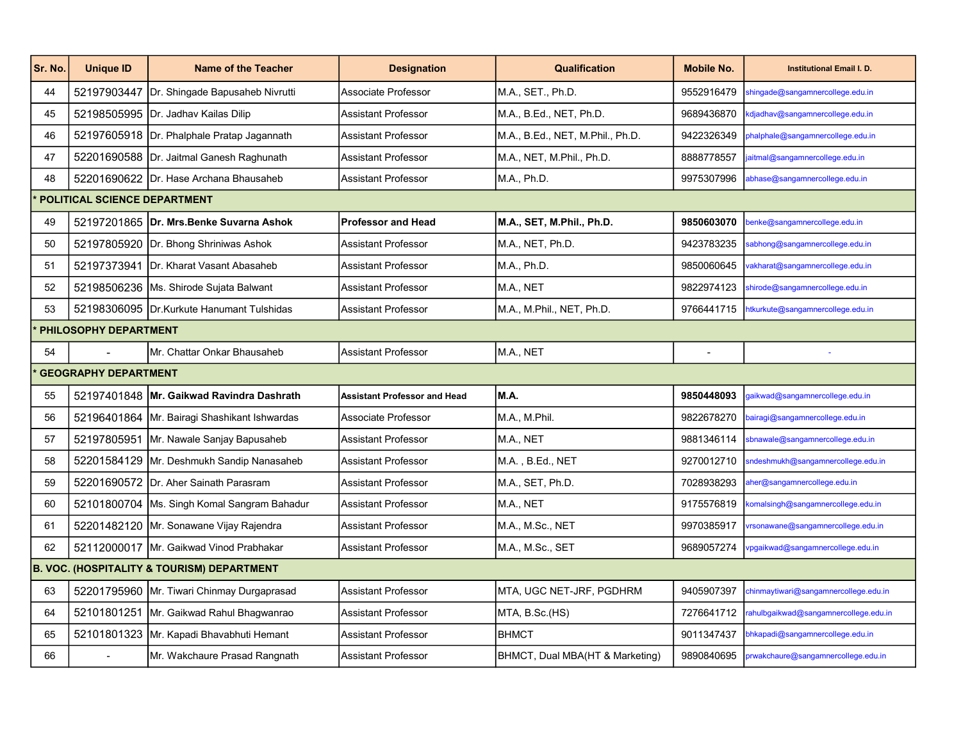| Sr. No. | <b>Unique ID</b>             | <b>Name of the Teacher</b>                            | <b>Designation</b>                  | <b>Qualification</b>             | <b>Mobile No.</b> | <b>Institutional Email I. D.</b>      |  |  |  |
|---------|------------------------------|-------------------------------------------------------|-------------------------------------|----------------------------------|-------------------|---------------------------------------|--|--|--|
| 44      | 52197903447                  | Dr. Shingade Bapusaheb Nivrutti                       | Associate Professor                 | M.A., SET., Ph.D.                | 9552916479        | shingade@sangamnercollege.edu.in      |  |  |  |
| 45      |                              | 52198505995 Dr. Jadhav Kailas Dilip                   | <b>Assistant Professor</b>          | M.A., B.Ed., NET, Ph.D.          | 9689436870        | kdjadhav@sangamnercollege.edu.in      |  |  |  |
| 46      |                              | 52197605918 Dr. Phalphale Pratap Jagannath            | Assistant Professor                 | M.A., B.Ed., NET, M.Phil., Ph.D. | 9422326349        | bhalphale@sangamnercollege.edu.in     |  |  |  |
| 47      |                              | 52201690588 Dr. Jaitmal Ganesh Raghunath              | Assistant Professor                 | M.A., NET, M.Phil., Ph.D.        | 8888778557        | aitmal@sangamnercollege.edu.in        |  |  |  |
| 48      |                              | 52201690622 Dr. Hase Archana Bhausaheb                | <b>Assistant Professor</b>          | M.A., Ph.D.                      | 9975307996        | abhase@sangamnercollege.edu.in        |  |  |  |
|         | POLITICAL SCIENCE DEPARTMENT |                                                       |                                     |                                  |                   |                                       |  |  |  |
| 49      |                              | 52197201865 Dr. Mrs.Benke Suvarna Ashok               | <b>Professor and Head</b>           | M.A., SET, M.Phil., Ph.D.        | 9850603070        | benke@sangamnercollege.edu.in         |  |  |  |
| 50      |                              | 52197805920 Dr. Bhong Shriniwas Ashok                 | Assistant Professor                 | M.A., NET, Ph.D.                 | 9423783235        | sabhong@sangamnercollege.edu.in       |  |  |  |
| 51      |                              | 52197373941 Dr. Kharat Vasant Abasaheb                | Assistant Professor                 | M.A., Ph.D.                      | 9850060645        | vakharat@sangamnercollege.edu.in      |  |  |  |
| 52      |                              | 52198506236   Ms. Shirode Sujata Balwant              | Assistant Professor                 | M.A., NET                        | 9822974123        | shirode@sangamnercollege.edu.in       |  |  |  |
| 53      |                              | 52198306095   Dr. Kurkute Hanumant Tulshidas          | Assistant Professor                 | M.A., M.Phil., NET, Ph.D.        | 9766441715        | htkurkute@sangamnercollege.edu.in     |  |  |  |
|         | PHILOSOPHY DEPARTMENT        |                                                       |                                     |                                  |                   |                                       |  |  |  |
| 54      | $\blacksquare$               | Mr. Chattar Onkar Bhausaheb                           | Assistant Professor                 | M.A., NET                        | $\sim$            |                                       |  |  |  |
|         | <b>GEOGRAPHY DEPARTMENT</b>  |                                                       |                                     |                                  |                   |                                       |  |  |  |
| 55      |                              | 52197401848 Mr. Gaikwad Ravindra Dashrath             | <b>Assistant Professor and Head</b> | M.A.                             | 9850448093        | gaikwad@sangamnercollege.edu.in       |  |  |  |
| 56      |                              | 52196401864 Mr. Bairagi Shashikant Ishwardas          | Associate Professor                 | M.A., M.Phil.                    | 9822678270        | bairagi@sangamnercollege.edu.in       |  |  |  |
| 57      |                              | 52197805951 Mr. Nawale Sanjay Bapusaheb               | Assistant Professor                 | M.A., NET                        | 9881346114        | sbnawale@sangamnercollege.edu.in      |  |  |  |
| 58      |                              | 52201584129   Mr. Deshmukh Sandip Nanasaheb           | Assistant Professor                 | M.A., B.Ed., NET                 | 9270012710        | sndeshmukh@sangamnercollege.edu.in    |  |  |  |
| 59      |                              | 52201690572 Dr. Aher Sainath Parasram                 | <b>Assistant Professor</b>          | M.A., SET, Ph.D.                 | 7028938293        | aher@sangamnercollege.edu.in          |  |  |  |
| 60      |                              | 52101800704 Ms. Singh Komal Sangram Bahadur           | Assistant Professor                 | M.A., NET                        | 9175576819        | comalsingh@sangamnercollege.edu.in    |  |  |  |
| 61      |                              | 52201482120 Mr. Sonawane Vijay Rajendra               | Assistant Professor                 | M.A., M.Sc., NET                 | 9970385917        | rsonawane@sangamnercollege.edu.in     |  |  |  |
| 62      |                              | 52112000017 Mr. Gaikwad Vinod Prabhakar               | Assistant Professor                 | M.A., M.Sc., SET                 | 9689057274        | ypgaikwad@sangamnercollege.edu.in     |  |  |  |
|         |                              | <b>B. VOC. (HOSPITALITY &amp; TOURISM) DEPARTMENT</b> |                                     |                                  |                   |                                       |  |  |  |
| 63      |                              | 52201795960 Mr. Tiwari Chinmay Durgaprasad            | Assistant Professor                 | MTA, UGC NET-JRF, PGDHRM         | 9405907397        | chinmaytiwari@sangamnercollege.edu.in |  |  |  |
| 64      |                              | 52101801251 Mr. Gaikwad Rahul Bhagwanrao              | Assistant Professor                 | MTA, B.Sc.(HS)                   | 7276641712        | rahulbgaikwad@sangamnercollege.edu.in |  |  |  |
| 65      |                              | 52101801323   Mr. Kapadi Bhavabhuti Hemant            | Assistant Professor                 | <b>BHMCT</b>                     | 9011347437        | bhkapadi@sangamnercollege.edu.in      |  |  |  |
| 66      |                              | Mr. Wakchaure Prasad Rangnath                         | Assistant Professor                 | BHMCT, Dual MBA(HT & Marketing)  | 9890840695        | prwakchaure@sangamnercollege.edu.in   |  |  |  |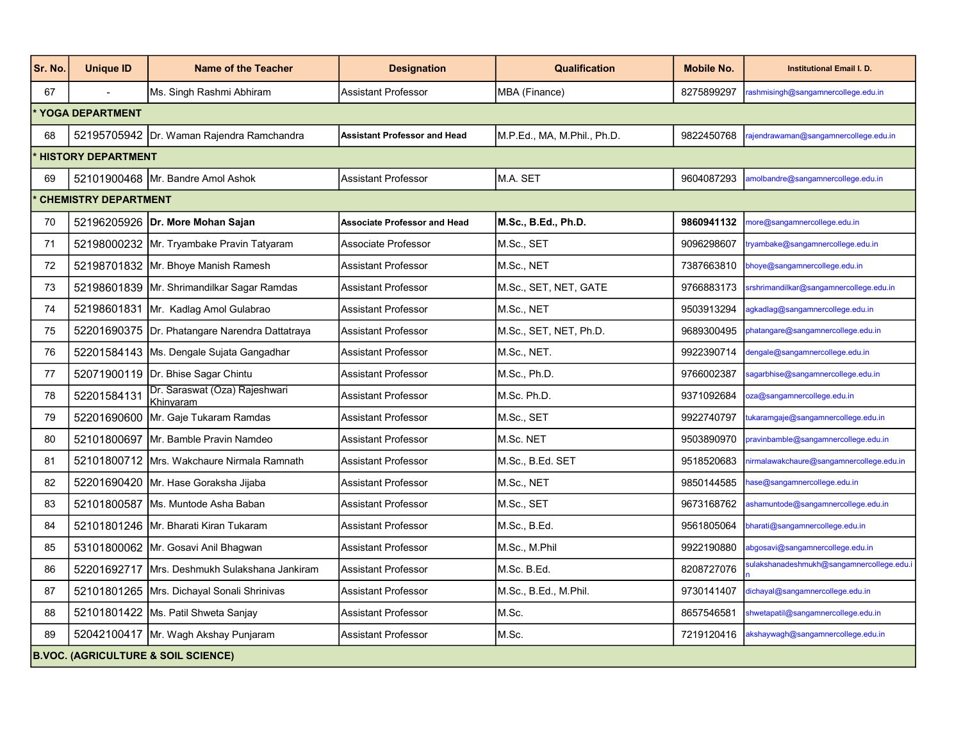| Sr. No. | <b>Unique ID</b>                               | <b>Name of the Teacher</b>                      | <b>Designation</b>                  | <b>Qualification</b>        | <b>Mobile No.</b> | <b>Institutional Email I. D.</b>         |  |  |  |
|---------|------------------------------------------------|-------------------------------------------------|-------------------------------------|-----------------------------|-------------------|------------------------------------------|--|--|--|
| 67      |                                                | Ms. Singh Rashmi Abhiram                        | <b>Assistant Professor</b>          | MBA (Finance)               | 8275899297        | rashmisingh@sangamnercollege.edu.in      |  |  |  |
|         | <b>YOGA DEPARTMENT</b>                         |                                                 |                                     |                             |                   |                                          |  |  |  |
| 68      |                                                | 52195705942 Dr. Waman Rajendra Ramchandra       | <b>Assistant Professor and Head</b> | M.P.Ed., MA, M.Phil., Ph.D. | 9822450768        | ajendrawaman@sangamnercollege.edu.in     |  |  |  |
|         | <b>HISTORY DEPARTMENT</b>                      |                                                 |                                     |                             |                   |                                          |  |  |  |
| 69      |                                                | 52101900468 Mr. Bandre Amol Ashok               | <b>Assistant Professor</b>          | M.A. SET                    | 9604087293        | amolbandre@sangamnercollege.edu.in       |  |  |  |
|         | <b>CHEMISTRY DEPARTMENT</b>                    |                                                 |                                     |                             |                   |                                          |  |  |  |
| 70      |                                                | 52196205926   Dr. More Mohan Sajan              | <b>Associate Professor and Head</b> | M.Sc., B.Ed., Ph.D.         | 9860941132        | nore@sangamnercollege.edu.in             |  |  |  |
| 71      |                                                | 52198000232 Mr. Tryambake Pravin Tatyaram       | Associate Professor                 | M.Sc., SET                  | 9096298607        | ryambake@sangamnercollege.edu.in         |  |  |  |
| 72      |                                                | 52198701832 Mr. Bhoye Manish Ramesh             | <b>Assistant Professor</b>          | M.Sc., NET                  | 7387663810        | bhoye@sangamnercollege.edu.in            |  |  |  |
| 73      |                                                | 52198601839 Mr. Shrimandilkar Sagar Ramdas      | <b>Assistant Professor</b>          | M.Sc., SET, NET, GATE       | 9766883173        | srshrimandilkar@sangamnercollege.edu.in  |  |  |  |
| 74      |                                                | 52198601831 Mr. Kadlag Amol Gulabrao            | <b>Assistant Professor</b>          | M.Sc., NET                  | 9503913294        | gkadlag@sangamnercollege.edu.in          |  |  |  |
| 75      |                                                | 52201690375  Dr. Phatangare Narendra Dattatraya | <b>Assistant Professor</b>          | M.Sc., SET, NET, Ph.D.      | 9689300495        | ohatangare@sangamnercollege.edu.in       |  |  |  |
| 76      |                                                | 52201584143 Ms. Dengale Sujata Gangadhar        | <b>Assistant Professor</b>          | M.Sc., NET.                 | 9922390714        | dengale@sangamnercollege.edu.in          |  |  |  |
| 77      |                                                | 52071900119 Dr. Bhise Sagar Chintu              | Assistant Professor                 | M.Sc., Ph.D.                | 9766002387        | agarbhise@sangamnercollege.edu.in        |  |  |  |
| 78      | 52201584131                                    | Dr. Saraswat (Oza) Rajeshwari<br>Khinvaram      | <b>Assistant Professor</b>          | M.Sc. Ph.D.                 | 9371092684        | za@sangamnercollege.edu.in               |  |  |  |
| 79      |                                                | 52201690600 Mr. Gaje Tukaram Ramdas             | <b>Assistant Professor</b>          | M.Sc., SET                  | 9922740797        | ukaramgaje@sangamnercollege.edu.in       |  |  |  |
| 80      |                                                | 52101800697 Mr. Bamble Pravin Namdeo            | <b>Assistant Professor</b>          | M.Sc. NET                   | 9503890970        | oravinbamble@sangamnercollege.edu.in     |  |  |  |
| 81      |                                                | 52101800712   Mrs. Wakchaure Nirmala Ramnath    | <b>Assistant Professor</b>          | M.Sc., B.Ed. SET            | 9518520683        | iirmalawakchaure@sangamnercollege.edu.in |  |  |  |
| 82      |                                                | 52201690420 Mr. Hase Goraksha Jijaba            | <b>Assistant Professor</b>          | M.Sc., NET                  | 9850144585        | ase@sangamnercollege.edu.in              |  |  |  |
| 83      |                                                | 52101800587 Ms. Muntode Asha Baban              | <b>Assistant Professor</b>          | M.Sc., SET                  | 9673168762        | ishamuntode@sangamnercollege.edu.in      |  |  |  |
| 84      |                                                | 52101801246 Mr. Bharati Kiran Tukaram           | <b>Assistant Professor</b>          | M.Sc., B.Ed.                | 9561805064        | bharati@sangamnercollege.edu.in          |  |  |  |
| 85      |                                                | 53101800062 Mr. Gosavi Anil Bhagwan             | <b>Assistant Professor</b>          | M.Sc., M.Phil               | 9922190880        | abgosavi@sangamnercollege.edu.in         |  |  |  |
| 86      |                                                | 52201692717   Mrs. Deshmukh Sulakshana Jankiram | <b>Assistant Professor</b>          | M.Sc. B.Ed.                 | 8208727076        | ulakshanadeshmukh@sangamnercollege.edu.i |  |  |  |
| 87      |                                                | 52101801265   Mrs. Dichayal Sonali Shrinivas    | <b>Assistant Professor</b>          | M.Sc., B.Ed., M.Phil.       | 9730141407        | dichayal@sangamnercollege.edu.in         |  |  |  |
| 88      |                                                | 52101801422 Ms. Patil Shweta Sanjay             | <b>Assistant Professor</b>          | M.Sc.                       | 8657546581        | shwetapatil@sangamnercollege.edu.in      |  |  |  |
| 89      |                                                | 52042100417 Mr. Wagh Akshay Punjaram            | <b>Assistant Professor</b>          | M.Sc.                       | 7219120416        | akshaywagh@sangamnercollege.edu.in       |  |  |  |
|         | <b>B.VOC. (AGRICULTURE &amp; SOIL SCIENCE)</b> |                                                 |                                     |                             |                   |                                          |  |  |  |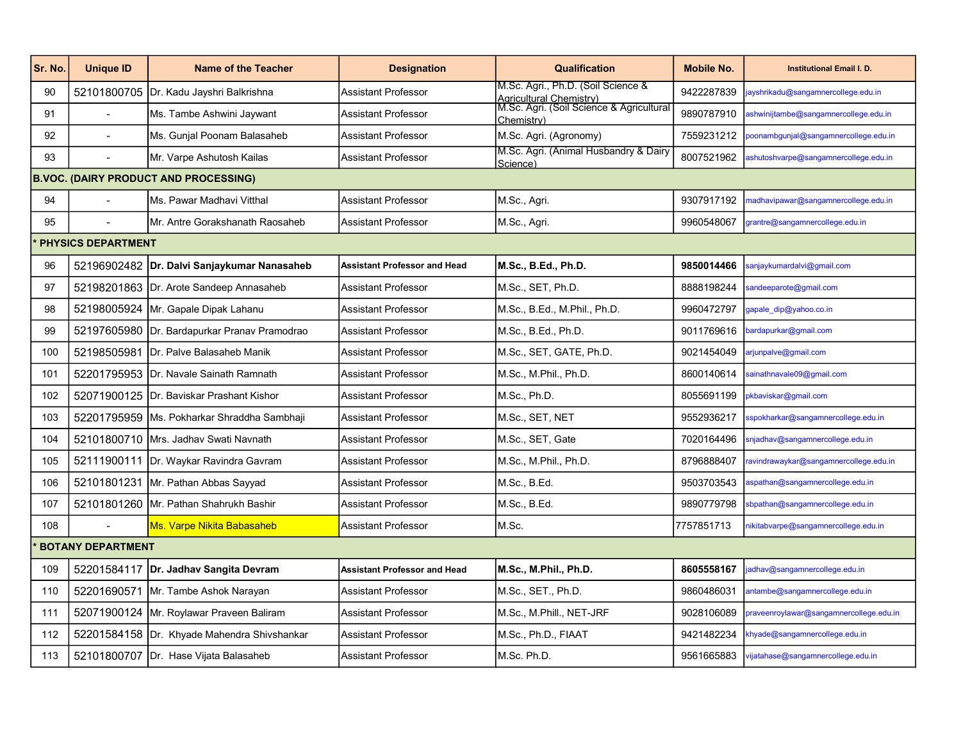| Sr. No. | <b>Unique ID</b>                             | <b>Name of the Teacher</b>                    | <b>Designation</b>                  | <b>Qualification</b>                                                                    | <b>Mobile No.</b> | <b>Institutional Email I. D.</b>        |  |  |  |
|---------|----------------------------------------------|-----------------------------------------------|-------------------------------------|-----------------------------------------------------------------------------------------|-------------------|-----------------------------------------|--|--|--|
| 90      |                                              | 52101800705 Dr. Kadu Jayshri Balkrishna       | <b>Assistant Professor</b>          | M.Sc. Agri., Ph.D. (Soil Science &                                                      | 9422287839        | ayshrikadu@sangamnercollege.edu.in      |  |  |  |
| 91      |                                              | Ms. Tambe Ashwini Jaywant                     | <b>Assistant Professor</b>          | <br> Agricultural Chemistry)<br> M.Sc. Agri. (Soil Science & Agricultural<br>Chemistry) | 9890787910        | shwinijtambe@sangamnercollege.edu.in    |  |  |  |
| 92      |                                              | Ms. Gunjal Poonam Balasaheb                   | <b>Assistant Professor</b>          | M.Sc. Agri. (Agronomy)                                                                  | 7559231212        | oonambgunjal@sangamnercollege.edu.in    |  |  |  |
| 93      |                                              | Mr. Varpe Ashutosh Kailas                     | <b>Assistant Professor</b>          | M.Sc. Agri. (Animal Husbandry & Dairy<br>Science)                                       | 8007521962        | ashutoshvarpe@sangamnercollege.edu.in   |  |  |  |
|         | <b>B.VOC. (DAIRY PRODUCT AND PROCESSING)</b> |                                               |                                     |                                                                                         |                   |                                         |  |  |  |
| 94      |                                              | İMs. Pawar Madhavi Vitthal                    | <b>Assistant Professor</b>          | M.Sc., Agri.                                                                            | 9307917192        | nadhavipawar@sangamnercollege.edu.in    |  |  |  |
| 95      |                                              | IMr. Antre Gorakshanath Raosaheb              | <b>Assistant Professor</b>          | M.Sc., Agri.                                                                            | 9960548067        | grantre@sangamnercollege.edu.in         |  |  |  |
|         | <b>PHYSICS DEPARTMENT</b>                    |                                               |                                     |                                                                                         |                   |                                         |  |  |  |
| 96      |                                              | 52196902482   Dr. Dalvi Sanjaykumar Nanasaheb | <b>Assistant Professor and Head</b> | M.Sc., B.Ed., Ph.D.                                                                     | 9850014466        | anjaykumardalvi@gmail.com               |  |  |  |
| 97      |                                              | 52198201863 Dr. Arote Sandeep Annasaheb       | <b>Assistant Professor</b>          | M.Sc., SET. Ph.D.                                                                       | 8888198244        | andeeparote@gmail.com                   |  |  |  |
| 98      |                                              | 52198005924 Mr. Gapale Dipak Lahanu           | Assistant Professor                 | M.Sc., B.Ed., M.Phil., Ph.D.                                                            | 9960472797        | qapale dip@yahoo.co.in                  |  |  |  |
| 99      |                                              | 52197605980 Dr. Bardapurkar Pranav Pramodrao  | Assistant Professor                 | M.Sc., B.Ed., Ph.D.                                                                     | 9011769616        | ardapurkar@gmail.com                    |  |  |  |
| 100     |                                              | 52198505981 Dr. Palve Balasaheb Manik         | <b>Assistant Professor</b>          | M.Sc., SET, GATE, Ph.D.                                                                 | 9021454049        | arjunpalve@gmail.com                    |  |  |  |
| 101     |                                              | 52201795953 IDr. Navale Sainath Ramnath       | <b>Assistant Professor</b>          | M.Sc., M.Phil., Ph.D.                                                                   | 8600140614        | ainathnavale09@gmail.com                |  |  |  |
| 102     |                                              | 52071900125 Dr. Baviskar Prashant Kishor      | <b>Assistant Professor</b>          | M.Sc., Ph.D.                                                                            | 8055691199        | kbaviskar@gmail.com                     |  |  |  |
| 103     |                                              | 52201795959   Ms. Pokharkar Shraddha Sambhaji | <b>Assistant Professor</b>          | M.Sc., SET, NET                                                                         | 9552936217        | spokharkar@sangamnercollege.edu.in      |  |  |  |
| 104     |                                              | 52101800710 Mrs. Jadhav Swati Navnath         | <b>Assistant Professor</b>          | M.Sc., SET, Gate                                                                        | 7020164496        | snjadhav@sangamnercollege.edu.in        |  |  |  |
| 105     |                                              | 52111900111   Dr. Waykar Ravindra Gavram      | <b>Assistant Professor</b>          | M.Sc., M.Phil., Ph.D.                                                                   | 8796888407        | avindrawaykar@sangamnercollege.edu.in   |  |  |  |
| 106     |                                              | 52101801231 Mr. Pathan Abbas Sayyad           | <b>Assistant Professor</b>          | M.Sc., B.Ed.                                                                            | 9503703543        | spathan@sangamnercollege.edu.in         |  |  |  |
| 107     |                                              | 52101801260   Mr. Pathan Shahrukh Bashir      | Assistant Professor                 | M.Sc., B.Ed.                                                                            | 9890779798        | bpathan@sangamnercollege.edu.in         |  |  |  |
| 108     |                                              | <b>Ms. Varpe Nikita Babasaheb</b>             | <b>Assistant Professor</b>          | M.Sc.                                                                                   | 7757851713        | nikitabvarpe@sangamnercollege.edu.in    |  |  |  |
|         | <b>BOTANY DEPARTMENT</b>                     |                                               |                                     |                                                                                         |                   |                                         |  |  |  |
| 109     |                                              | 52201584117   Dr. Jadhav Sangita Devram       | <b>Assistant Professor and Head</b> | M.Sc., M.Phil., Ph.D.                                                                   | 8605558167        | adhav@sangamnercollege.edu.in           |  |  |  |
| 110     |                                              | 52201690571 Mr. Tambe Ashok Narayan           | <b>Assistant Professor</b>          | M.Sc., SET., Ph.D.                                                                      | 9860486031        | antambe@sangamnercollege.edu.in         |  |  |  |
| 111     |                                              | 52071900124   Mr. Roylawar Praveen Baliram    | <b>Assistant Professor</b>          | M.Sc., M.Phill., NET-JRF                                                                | 9028106089        | oraveenroylawar@sangamnercollege.edu.in |  |  |  |
| 112     |                                              | 52201584158 Dr. Khyade Mahendra Shivshankar   | Assistant Professor                 | M.Sc., Ph.D., FIAAT                                                                     | 9421482234        | khyade@sangamnercollege.edu.in          |  |  |  |
| 113     |                                              | 52101800707 Dr. Hase Vijata Balasaheb         | <b>Assistant Professor</b>          | M.Sc. Ph.D.                                                                             | 9561665883        | vijatahase@sangamnercollege.edu.in      |  |  |  |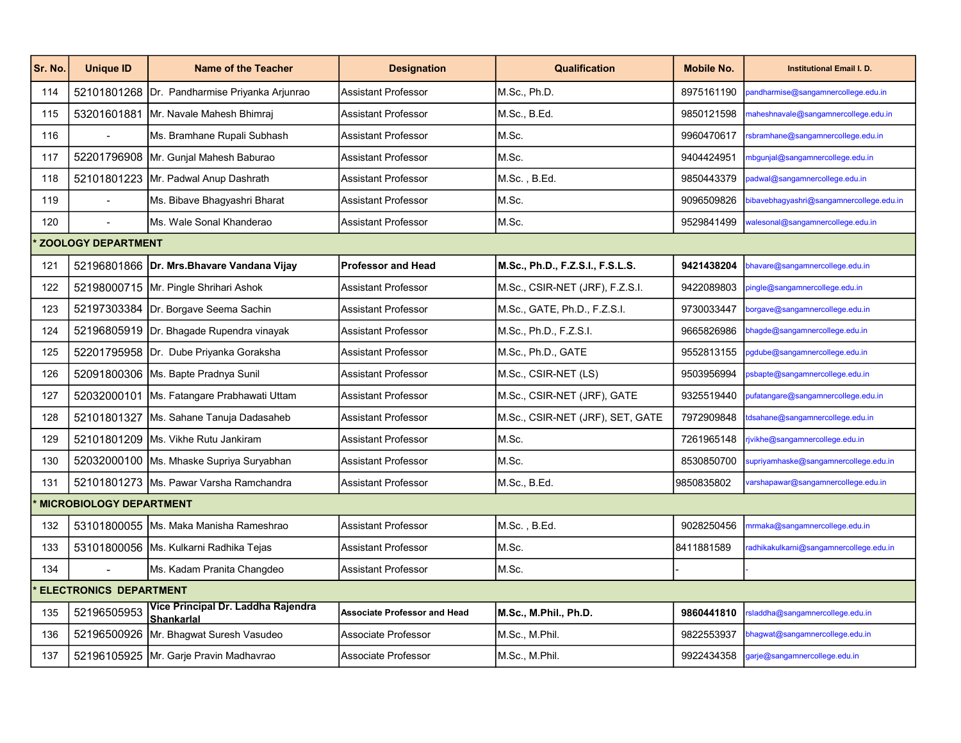| Sr. No. | <b>Unique ID</b>               | <b>Name of the Teacher</b>                              | <b>Designation</b>                  | <b>Qualification</b>             | <b>Mobile No.</b> | <b>Institutional Email I. D.</b>         |  |  |
|---------|--------------------------------|---------------------------------------------------------|-------------------------------------|----------------------------------|-------------------|------------------------------------------|--|--|
| 114     |                                | 52101801268 Dr. Pandharmise Priyanka Arjunrao           | <b>Assistant Professor</b>          | M.Sc., Ph.D.                     | 8975161190        | bandharmise@sangamnercollege.edu.in      |  |  |
| 115     |                                | 53201601881 Mr. Navale Mahesh Bhimraj                   | <b>Assistant Professor</b>          | M.Sc., B.Ed.                     | 9850121598        | maheshnavale@sangamnercollege.edu.in     |  |  |
| 116     |                                | Ms. Bramhane Rupali Subhash                             | <b>Assistant Professor</b>          | M.Sc.                            | 9960470617        | sbramhane@sangamnercollege.edu.in        |  |  |
| 117     |                                | 52201796908 Mr. Gunjal Mahesh Baburao                   | <b>Assistant Professor</b>          | M.Sc.                            | 9404424951        | mbgunjal@sangamnercollege.edu.in         |  |  |
| 118     |                                | 52101801223 Mr. Padwal Anup Dashrath                    | Assistant Professor                 | M.Sc., B.Ed.                     | 9850443379        | adwal@sangamnercollege.edu.in            |  |  |
| 119     |                                | Ms. Bibave Bhagyashri Bharat                            | <b>Assistant Professor</b>          | M.Sc.                            | 9096509826        | bibavebhagyashri@sangamnercollege.edu.in |  |  |
| 120     |                                | IMs. Wale Sonal Khanderao                               | <b>Assistant Professor</b>          | M.Sc.                            | 9529841499        | walesonal@sangamnercollege.edu.in        |  |  |
|         | <b>ZOOLOGY DEPARTMENT</b>      |                                                         |                                     |                                  |                   |                                          |  |  |
| 121     |                                | 52196801866 Dr. Mrs. Bhavare Vandana Vijay              | <b>Professor and Head</b>           | M.Sc., Ph.D., F.Z.S.I., F.S.L.S. | 9421438204        | bhavare@sangamnercollege.edu.in          |  |  |
| 122     |                                | 52198000715   Mr. Pingle Shrihari Ashok                 | <b>Assistant Professor</b>          | M.Sc., CSIR-NET (JRF), F.Z.S.I.  | 9422089803        | pingle@sangamnercollege.edu.in           |  |  |
| 123     |                                | 52197303384 Dr. Borgave Seema Sachin                    | <b>Assistant Professor</b>          | M.Sc., GATE, Ph.D., F.Z.S.I.     | 9730033447        | orgave@sangamnercollege.edu.in           |  |  |
| 124     |                                | 52196805919 Dr. Bhagade Rupendra vinayak                | <b>Assistant Professor</b>          | M.Sc., Ph.D., F.Z.S.I.           | 9665826986        | ohagde@sangamnercollege.edu.in           |  |  |
| 125     |                                | 52201795958 Dr. Dube Priyanka Goraksha                  | <b>Assistant Professor</b>          | M.Sc., Ph.D., GATE               | 9552813155        | ogdube@sangamnercollege.edu.in           |  |  |
| 126     |                                | 52091800306 Ms. Bapte Pradnya Sunil                     | <b>Assistant Professor</b>          | M.Sc., CSIR-NET (LS)             | 9503956994        | osbapte@sangamnercollege.edu.in          |  |  |
| 127     |                                | 52032000101 Ms. Fatangare Prabhawati Uttam              | <b>Assistant Professor</b>          | M.Sc., CSIR-NET (JRF), GATE      | 9325519440        | oufatangare@sangamnercollege.edu.in      |  |  |
| 128     |                                | 52101801327 Ms. Sahane Tanuja Dadasaheb                 | <b>Assistant Professor</b>          | M.Sc., CSIR-NET (JRF), SET, GATE | 7972909848        | dsahane@sangamnercollege.edu.in          |  |  |
| 129     |                                | 52101801209   Ms. Vikhe Rutu Jankiram                   | <b>Assistant Professor</b>          | M.Sc.                            | 7261965148        | jvikhe@sangamnercollege.edu.in           |  |  |
| 130     |                                | 52032000100   Ms. Mhaske Supriya Suryabhan              | <b>Assistant Professor</b>          | M.Sc.                            | 8530850700        | supriyamhaske@sangamnercollege.edu.in    |  |  |
| 131     |                                | 52101801273   Ms. Pawar Varsha Ramchandra               | <b>Assistant Professor</b>          | M.Sc., B.Ed.                     | 9850835802        | varshapawar@sangamnercollege.edu.in      |  |  |
|         | <b>MICROBIOLOGY DEPARTMENT</b> |                                                         |                                     |                                  |                   |                                          |  |  |
| 132     |                                | 53101800055 Ms. Maka Manisha Rameshrao                  | <b>Assistant Professor</b>          | M.Sc., B.Ed.                     | 9028250456        | mrmaka@sangamnercollege.edu.in           |  |  |
| 133     |                                | 53101800056 Ms. Kulkarni Radhika Tejas                  | <b>Assistant Professor</b>          | M.Sc.                            | 8411881589        | adhikakulkarni@sangamnercollege.edu.in   |  |  |
| 134     |                                | Ms. Kadam Pranita Changdeo                              | <b>Assistant Professor</b>          | M.Sc.                            |                   |                                          |  |  |
|         | <b>ELECTRONICS DEPARTMENT</b>  |                                                         |                                     |                                  |                   |                                          |  |  |
| 135     | 52196505953                    | Vice Principal Dr. Laddha Rajendra<br><b>Shankarlal</b> | <b>Associate Professor and Head</b> | M.Sc., M.Phil., Ph.D.            | 9860441810        | rsladdha@sangamnercollege.edu.in         |  |  |
| 136     |                                | 52196500926   Mr. Bhagwat Suresh Vasudeo                | Associate Professor                 | M.Sc., M.Phil.                   | 9822553937        | ohagwat@sangamnercollege.edu.in          |  |  |
| 137     |                                | 52196105925 Mr. Garje Pravin Madhavrao                  | Associate Professor                 | M.Sc., M.Phil.                   | 9922434358        | garje@sangamnercollege.edu.in            |  |  |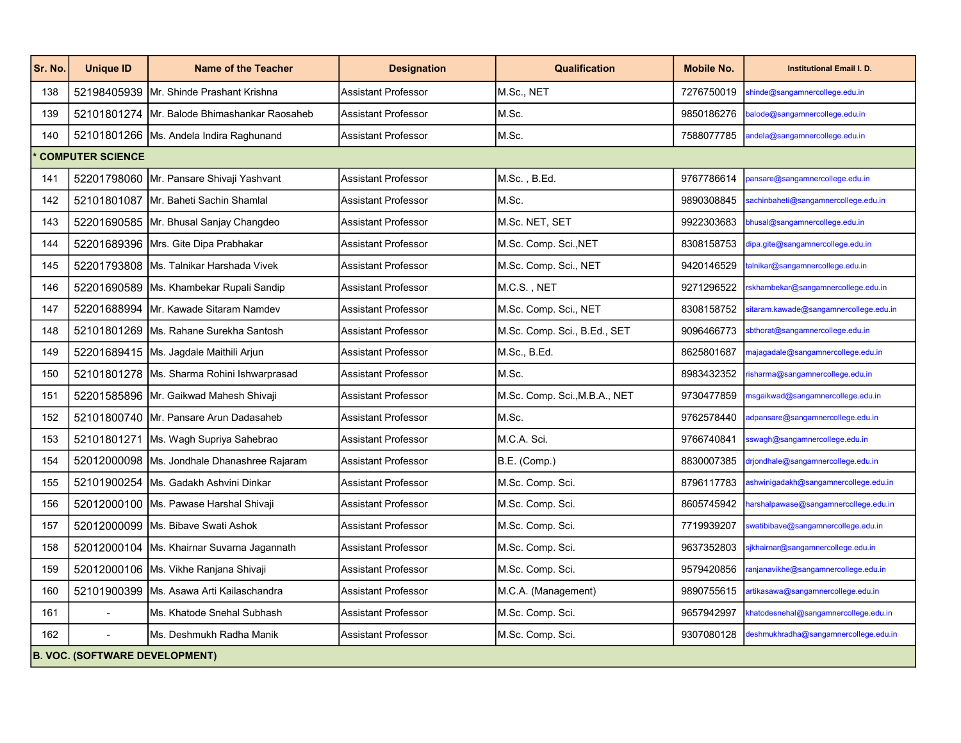| Sr. No. | <b>Unique ID</b>                      | <b>Name of the Teacher</b>                   | <b>Designation</b>         | <b>Qualification</b>          | <b>Mobile No.</b> | <b>Institutional Email I. D.</b>      |  |  |
|---------|---------------------------------------|----------------------------------------------|----------------------------|-------------------------------|-------------------|---------------------------------------|--|--|
| 138     | 52198405939                           | Mr. Shinde Prashant Krishna                  | <b>Assistant Professor</b> | M.Sc., NET                    | 7276750019        | shinde@sangamnercollege.edu.in        |  |  |
| 139     |                                       | 52101801274 Mr. Balode Bhimashankar Raosaheb | <b>Assistant Professor</b> | M.Sc.                         | 9850186276        | balode@sangamnercollege.edu.in        |  |  |
| 140     |                                       | 52101801266 Ms. Andela Indira Raghunand      | Assistant Professor        | M.Sc.                         | 7588077785        | andela@sangamnercollege.edu.in        |  |  |
|         | <b>COMPUTER SCIENCE</b>               |                                              |                            |                               |                   |                                       |  |  |
| 141     |                                       | 52201798060 Mr. Pansare Shivaji Yashvant     | <b>Assistant Professor</b> | M.Sc., B.Ed.                  | 9767786614        | ansare@sangamnercollege.edu.in        |  |  |
| 142     |                                       | 52101801087 Mr. Baheti Sachin Shamlal        | <b>Assistant Professor</b> | M.Sc.                         | 9890308845        | achinbaheti@sangamnercollege.edu.in   |  |  |
| 143     |                                       | 52201690585 Mr. Bhusal Sanjay Changdeo       | <b>Assistant Professor</b> | M.Sc. NET, SET                | 9922303683        | bhusal@sangamnercollege.edu.in        |  |  |
| 144     |                                       | 52201689396 Mrs. Gite Dipa Prabhakar         | <b>Assistant Professor</b> | M.Sc. Comp. Sci., NET         | 8308158753        | dipa.gite@sangamnercollege.edu.in     |  |  |
| 145     |                                       | 52201793808 Ms. Talnikar Harshada Vivek      | <b>Assistant Professor</b> | M.Sc. Comp. Sci., NET         | 9420146529        | alnikar@sangamnercollege.edu.in       |  |  |
| 146     |                                       | 52201690589 Ms. Khambekar Rupali Sandip      | <b>Assistant Professor</b> | M.C.S., NET                   | 9271296522        | skhambekar@sangamnercollege.edu.in    |  |  |
| 147     |                                       | 52201688994 IMr. Kawade Sitaram Namdev       | <b>Assistant Professor</b> | M.Sc. Comp. Sci., NET         | 8308158752        | itaram.kawade@sangamnercollege.edu.in |  |  |
| 148     |                                       | 52101801269   Ms. Rahane Surekha Santosh     | <b>Assistant Professor</b> | M.Sc. Comp. Sci., B.Ed., SET  | 9096466773        | sbthorat@sangamnercollege.edu.in      |  |  |
| 149     |                                       | 52201689415   Ms. Jagdale Maithili Arjun     | <b>Assistant Professor</b> | M.Sc., B.Ed.                  | 8625801687        | najagadale@sangamnercollege.edu.in    |  |  |
| 150     |                                       | 52101801278   Ms. Sharma Rohini Ishwarprasad | <b>Assistant Professor</b> | M.Sc.                         | 8983432352        | isharma@sangamnercollege.edu.in       |  |  |
| 151     |                                       | 52201585896   Mr. Gaikwad Mahesh Shivaji     | <b>Assistant Professor</b> | M.Sc. Comp. Sci., M.B.A., NET | 9730477859        | nsgaikwad@sangamnercollege.edu.in     |  |  |
| 152     |                                       | 52101800740 Mr. Pansare Arun Dadasaheb       | <b>Assistant Professor</b> | M.Sc.                         | 9762578440        | adpansare@sangamnercollege.edu.in     |  |  |
| 153     | 52101801271                           | Ms. Wagh Supriya Sahebrao                    | <b>Assistant Professor</b> | M.C.A. Sci.                   | 9766740841        | swagh@sangamnercollege.edu.in         |  |  |
| 154     |                                       | 52012000098 Ms. Jondhale Dhanashree Rajaram  | <b>Assistant Professor</b> | B.E. (Comp.)                  | 8830007385        | drjondhale@sangamnercollege.edu.in    |  |  |
| 155     |                                       | 52101900254   Ms. Gadakh Ashvini Dinkar      | <b>Assistant Professor</b> | M.Sc. Comp. Sci.              | 8796117783        | ashwinigadakh@sangamnercollege.edu.in |  |  |
| 156     |                                       | 52012000100   Ms. Pawase Harshal Shivaji     | <b>Assistant Professor</b> | M.Sc. Comp. Sci.              | 8605745942        | narshalpawase@sangamnercollege.edu.in |  |  |
| 157     |                                       | 52012000099 Ms. Bibave Swati Ashok           | <b>Assistant Professor</b> | M.Sc. Comp. Sci.              | 7719939207        | watibibave@sangamnercollege.edu.in    |  |  |
| 158     |                                       | 52012000104   Ms. Khairnar Suvarna Jagannath | <b>Assistant Professor</b> | M.Sc. Comp. Sci.              | 9637352803        | ikhairnar@sangamnercollege.edu.in     |  |  |
| 159     |                                       | 52012000106   Ms. Vikhe Ranjana Shivaji      | <b>Assistant Professor</b> | M.Sc. Comp. Sci.              | 9579420856        | anjanavikhe@sangamnercollege.edu.in   |  |  |
| 160     |                                       | 52101900399   Ms. Asawa Arti Kailaschandra   | <b>Assistant Professor</b> | M.C.A. (Management)           | 9890755615        | artikasawa@sangamnercollege.edu.in    |  |  |
| 161     |                                       | Ms. Khatode Snehal Subhash                   | <b>Assistant Professor</b> | M.Sc. Comp. Sci.              | 9657942997        | khatodesnehal@sangamnercollege.edu.in |  |  |
| 162     |                                       | Ms. Deshmukh Radha Manik                     | Assistant Professor        | M.Sc. Comp. Sci.              | 9307080128        | deshmukhradha@sangamnercollege.edu.in |  |  |
|         | <b>B. VOC. (SOFTWARE DEVELOPMENT)</b> |                                              |                            |                               |                   |                                       |  |  |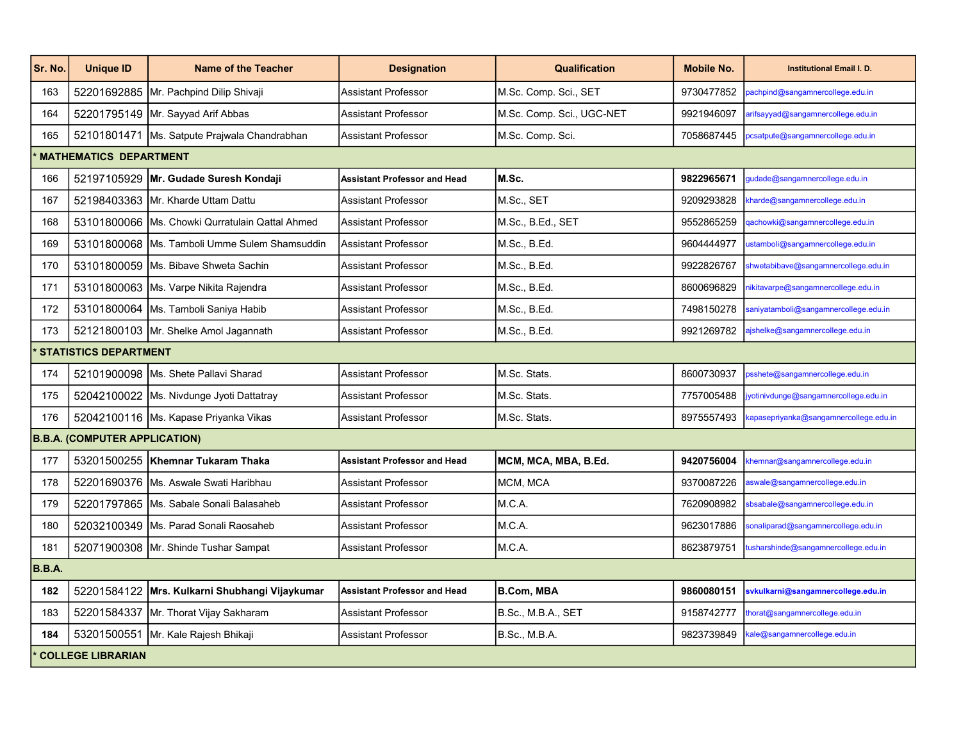| Sr. No. | <b>Unique ID</b>                     | <b>Name of the Teacher</b>                      | <b>Designation</b>                  | <b>Qualification</b>      | <b>Mobile No.</b> | <b>Institutional Email I. D.</b>                                          |  |
|---------|--------------------------------------|-------------------------------------------------|-------------------------------------|---------------------------|-------------------|---------------------------------------------------------------------------|--|
| 163     |                                      | 52201692885   Mr. Pachpind Dilip Shivaji        | <b>Assistant Professor</b>          | M.Sc. Comp. Sci., SET     | 9730477852        | bachpind@sangamnercollege.edu.in                                          |  |
| 164     |                                      | 52201795149 Mr. Sayyad Arif Abbas               | <b>Assistant Professor</b>          | M.Sc. Comp. Sci., UGC-NET | 9921946097        | arifsayyad@sangamnercollege.edu.in                                        |  |
| 165     |                                      | 52101801471 Ms. Satpute Prajwala Chandrabhan    | <b>Assistant Professor</b>          | M.Sc. Comp. Sci.          | 7058687445        | ocsatpute@sangamnercollege.edu.in                                         |  |
|         | <b>MATHEMATICS DEPARTMENT</b>        |                                                 |                                     |                           |                   |                                                                           |  |
| 166     |                                      | 52197105929   Mr. Gudade Suresh Kondaji         | <b>Assistant Professor and Head</b> | M.Sc.                     | 9822965671        | qudade@sangamnercollege.edu.in                                            |  |
| 167     |                                      | 52198403363 Mr. Kharde Uttam Dattu              | <b>Assistant Professor</b>          | M.Sc., SET                | 9209293828        | charde@sangamnercollege.edu.in                                            |  |
| 168     |                                      | 53101800066 Ms. Chowki Qurratulain Qattal Ahmed | <b>Assistant Professor</b>          | M.Sc., B.Ed., SET         | 9552865259        | qachowki@sangamnercollege.edu.in                                          |  |
| 169     |                                      | 53101800068   Ms. Tamboli Umme Sulem Shamsuddin | <b>Assistant Professor</b>          | M.Sc., B.Ed.              | 9604444977        | ustamboli@sangamnercollege.edu.in                                         |  |
| 170     |                                      | 53101800059   Ms. Bibave Shweta Sachin          | <b>Assistant Professor</b>          | M.Sc., B.Ed.              | 9922826767        | shwetabibave@sangamnercollege.edu.in                                      |  |
| 171     |                                      | 53101800063 Ms. Varpe Nikita Rajendra           | <b>Assistant Professor</b>          | M.Sc., B.Ed.              | 8600696829        | hikitavarpe@sangamnercollege.edu.in                                       |  |
| 172     |                                      | 53101800064   Ms. Tamboli Saniya Habib          | Assistant Professor                 | M.Sc., B.Ed.              | 7498150278        | aniyatamboli@sangamnercollege.edu.in                                      |  |
| 173     |                                      | 52121800103 Mr. Shelke Amol Jagannath           | <b>Assistant Professor</b>          | M.Sc., B.Ed.              | 9921269782        | ajshelke@sangamnercollege.edu.in                                          |  |
|         | <b>STATISTICS DEPARTMENT</b>         |                                                 |                                     |                           |                   |                                                                           |  |
| 174     |                                      | 52101900098 Ms. Shete Pallavi Sharad            | Assistant Professor                 | M.Sc. Stats.              | 8600730937        | bsshete@sangamnercollege.edu.in                                           |  |
| 175     |                                      | 52042100022 Ms. Nivdunge Jyoti Dattatray        | <b>Assistant Professor</b>          | M.Sc. Stats.              | 7757005488        | yotinivdunge@sangamnercollege.edu.in                                      |  |
| 176     |                                      | 52042100116   Ms. Kapase Priyanka Vikas         | <b>Assistant Professor</b>          | M.Sc. Stats.              | 8975557493        | apasepriyanka@sangamnercollege.edu.in                                     |  |
|         | <b>B.B.A. (COMPUTER APPLICATION)</b> |                                                 |                                     |                           |                   |                                                                           |  |
| 177     |                                      | 53201500255   Khemnar Tukaram Thaka             | <b>Assistant Professor and Head</b> | MCM, MCA, MBA, B.Ed.      | 9420756004        | <hemnar@sangamnercollege.edu.in< td=""></hemnar@sangamnercollege.edu.in<> |  |
| 178     |                                      | 52201690376   Ms. Aswale Swati Haribhau         | <b>Assistant Professor</b>          | MCM, MCA                  | 9370087226        | aswale@sangamnercollege.edu.in                                            |  |
| 179     |                                      | 52201797865   Ms. Sabale Sonali Balasaheb       | <b>Assistant Professor</b>          | M.C.A.                    | 7620908982        | bsabale@sangamnercollege.edu.in                                           |  |
| 180     |                                      | 52032100349   Ms. Parad Sonali Raosaheb         | <b>Assistant Professor</b>          | M.C.A.                    | 9623017886        | sonaliparad@sangamnercollege.edu.in                                       |  |
| 181     |                                      | 52071900308 Mr. Shinde Tushar Sampat            | <b>Assistant Professor</b>          | M.C.A.                    | 8623879751        | usharshinde@sangamnercollege.edu.in                                       |  |
| B.B.A.  |                                      |                                                 |                                     |                           |                   |                                                                           |  |
| 182     |                                      | 52201584122 Mrs. Kulkarni Shubhangi Vijaykumar  | <b>Assistant Professor and Head</b> | B.Com, MBA                | 9860080151        | svkulkarni@sangamnercollege.edu.in                                        |  |
| 183     |                                      | 52201584337 Mr. Thorat Vijay Sakharam           | <b>Assistant Professor</b>          | B.Sc., M.B.A., SET        | 9158742777        | horat@sangamnercollege.edu.in                                             |  |
| 184     |                                      | 53201500551 Mr. Kale Rajesh Bhikaji             | Assistant Professor                 | B.Sc., M.B.A.             | 9823739849        | cale@sangamnercollege.edu.in                                              |  |
|         | <b>COLLEGE LIBRARIAN</b>             |                                                 |                                     |                           |                   |                                                                           |  |